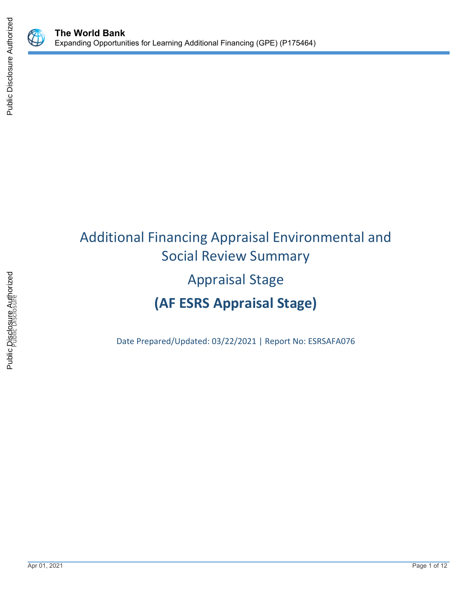



# Additional Financing Appraisal Environmental and Social Review Summary Appraisal Stage **(AF ESRS Appraisal Stage)**

Date Prepared/Updated: 03/22/2021 | Report No: ESRSAFA076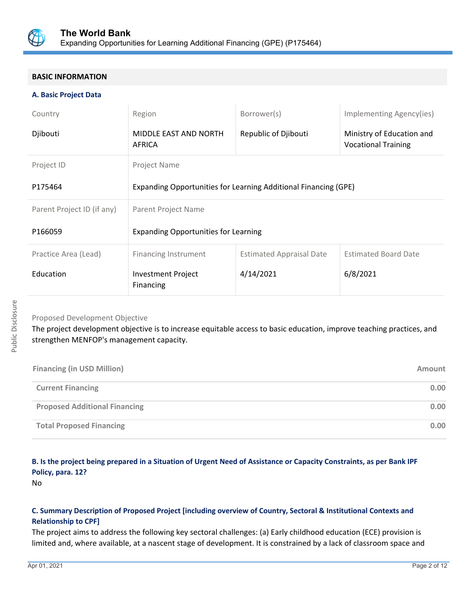

### **BASIC INFORMATION**

### **A. Basic Project Data**

| Country                    | Region                                                          | Borrower(s)                     | Implementing Agency(ies)                                |  |  |
|----------------------------|-----------------------------------------------------------------|---------------------------------|---------------------------------------------------------|--|--|
| Djibouti                   | MIDDLE EAST AND NORTH<br>AFRICA                                 | Republic of Djibouti            | Ministry of Education and<br><b>Vocational Training</b> |  |  |
| Project ID                 | Project Name                                                    |                                 |                                                         |  |  |
| P175464                    | Expanding Opportunities for Learning Additional Financing (GPE) |                                 |                                                         |  |  |
| Parent Project ID (if any) | Parent Project Name                                             |                                 |                                                         |  |  |
| P166059                    | <b>Expanding Opportunities for Learning</b>                     |                                 |                                                         |  |  |
| Practice Area (Lead)       | <b>Financing Instrument</b>                                     | <b>Estimated Appraisal Date</b> | <b>Estimated Board Date</b>                             |  |  |
| Education                  | Investment Project<br>Financing                                 | 4/14/2021                       | 6/8/2021                                                |  |  |

# Proposed Development Objective

The project development objective is to increase equitable access to basic education, improve teaching practices, and strengthen MENFOP's management capacity.

| <b>Financing (in USD Million)</b>    | Amount |
|--------------------------------------|--------|
| <b>Current Financing</b>             | 0.00   |
| <b>Proposed Additional Financing</b> | 0.00   |
| <b>Total Proposed Financing</b>      | 0.00   |

# **B. Is the project being prepared in a Situation of Urgent Need of Assistance or Capacity Constraints, as per Bank IPF Policy, para. 12?**

No

# **C. Summary Description of Proposed Project [including overview of Country, Sectoral & Institutional Contexts and Relationship to CPF]**

The project aims to address the following key sectoral challenges: (a) Early childhood education (ECE) provision is limited and, where available, at a nascent stage of development. It is constrained by a lack of classroom space and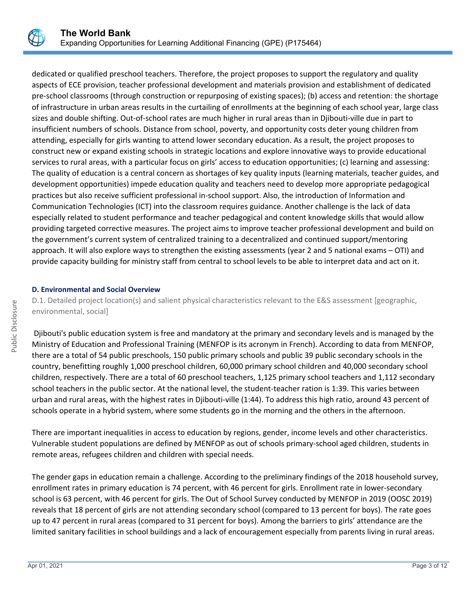

dedicated or qualified preschool teachers. Therefore, the project proposes to support the regulatory and quality aspects of ECE provision, teacher professional development and materials provision and establishment of dedicated pre-school classrooms (through construction or repurposing of existing spaces); (b) access and retention: the shortage of infrastructure in urban areas results in the curtailing of enrollments at the beginning of each school year, large class sizes and double shifting. Out-of-school rates are much higher in rural areas than in Djibouti-ville due in part to insufficient numbers of schools. Distance from school, poverty, and opportunity costs deter young children from attending, especially for girls wanting to attend lower secondary education. As a result, the project proposes to construct new or expand existing schools in strategic locations and explore innovative ways to provide educational services to rural areas, with a particular focus on girls' access to education opportunities; (c) learning and assessing: The quality of education is a central concern as shortages of key quality inputs (learning materials, teacher guides, and development opportunities) impede education quality and teachers need to develop more appropriate pedagogical practices but also receive sufficient professional in-school support. Also, the introduction of Information and Communication Technologies (ICT) into the classroom requires guidance. Another challenge is the lack of data especially related to student performance and teacher pedagogical and content knowledge skills that would allow providing targeted corrective measures. The project aims to improve teacher professional development and build on the government's current system of centralized training to a decentralized and continued support/mentoring approach. It will also explore ways to strengthen the existing assessments (year 2 and 5 national exams – OTI) and provide capacity building for ministry staff from central to school levels to be able to interpret data and act on it.

### **D. Environmental and Social Overview**

D.1. Detailed project location(s) and salient physical characteristics relevant to the E&S assessment [geographic, environmental, social]

 Djibouti's public education system is free and mandatory at the primary and secondary levels and is managed by the Ministry of Education and Professional Training (MENFOP is its acronym in French). According to data from MENFOP, there are a total of 54 public preschools, 150 public primary schools and public 39 public secondary schools in the country, benefitting roughly 1,000 preschool children, 60,000 primary school children and 40,000 secondary school children, respectively. There are a total of 60 preschool teachers, 1,125 primary school teachers and 1,112 secondary school teachers in the public sector. At the national level, the student-teacher ration is 1:39. This varies between urban and rural areas, with the highest rates in Djibouti-ville (1:44). To address this high ratio, around 43 percent of schools operate in a hybrid system, where some students go in the morning and the others in the afternoon.

There are important inequalities in access to education by regions, gender, income levels and other characteristics. Vulnerable student populations are defined by MENFOP as out of schools primary-school aged children, students in remote areas, refugees children and children with special needs.

The gender gaps in education remain a challenge. According to the preliminary findings of the 2018 household survey, enrollment rates in primary education is 74 percent, with 46 percent for girls. Enrollment rate in lower-secondary school is 63 percent, with 46 percent for girls. The Out of School Survey conducted by MENFOP in 2019 (OOSC 2019) reveals that 18 percent of girls are not attending secondary school (compared to 13 percent for boys). The rate goes up to 47 percent in rural areas (compared to 31 percent for boys). Among the barriers to girls' attendance are the limited sanitary facilities in school buildings and a lack of encouragement especially from parents living in rural areas.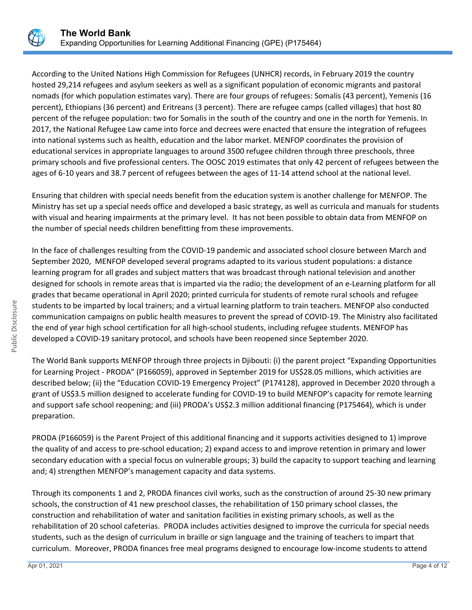

According to the United Nations High Commission for Refugees (UNHCR) records, in February 2019 the country hosted 29,214 refugees and asylum seekers as well as a significant population of economic migrants and pastoral nomads (for which population estimates vary). There are four groups of refugees: Somalis (43 percent), Yemenis (16 percent), Ethiopians (36 percent) and Eritreans (3 percent). There are refugee camps (called villages) that host 80 percent of the refugee population: two for Somalis in the south of the country and one in the north for Yemenis. In 2017, the National Refugee Law came into force and decrees were enacted that ensure the integration of refugees into national systems such as health, education and the labor market. MENFOP coordinates the provision of educational services in appropriate languages to around 3500 refugee children through three preschools, three primary schools and five professional centers. The OOSC 2019 estimates that only 42 percent of refugees between the ages of 6-10 years and 38.7 percent of refugees between the ages of 11-14 attend school at the national level.

Ensuring that children with special needs benefit from the education system is another challenge for MENFOP. The Ministry has set up a special needs office and developed a basic strategy, as well as curricula and manuals for students with visual and hearing impairments at the primary level. It has not been possible to obtain data from MENFOP on the number of special needs children benefitting from these improvements.

In the face of challenges resulting from the COVID-19 pandemic and associated school closure between March and September 2020, MENFOP developed several programs adapted to its various student populations: a distance learning program for all grades and subject matters that was broadcast through national television and another designed for schools in remote areas that is imparted via the radio; the development of an e-Learning platform for all grades that became operational in April 2020; printed curricula for students of remote rural schools and refugee students to be imparted by local trainers; and a virtual learning platform to train teachers. MENFOP also conducted communication campaigns on public health measures to prevent the spread of COVID-19. The Ministry also facilitated the end of year high school certification for all high-school students, including refugee students. MENFOP has developed a COVID-19 sanitary protocol, and schools have been reopened since September 2020.

The World Bank supports MENFOP through three projects in Djibouti: (i) the parent project "Expanding Opportunities for Learning Project - PRODA" (P166059), approved in September 2019 for US\$28.05 millions, which activities are described below; (ii) the "Education COVID-19 Emergency Project" (P174128), approved in December 2020 through a grant of US\$3.5 million designed to accelerate funding for COVID-19 to build MENFOP's capacity for remote learning and support safe school reopening; and (iii) PRODA's US\$2.3 million additional financing (P175464), which is under preparation.

PRODA (P166059) is the Parent Project of this additional financing and it supports activities designed to 1) improve the quality of and access to pre-school education; 2) expand access to and improve retention in primary and lower secondary education with a special focus on vulnerable groups; 3) build the capacity to support teaching and learning and; 4) strengthen MENFOP's management capacity and data systems.

Through its components 1 and 2, PRODA finances civil works, such as the construction of around 25-30 new primary schools, the construction of 41 new preschool classes, the rehabilitation of 150 primary school classes, the construction and rehabilitation of water and sanitation facilities in existing primary schools, as well as the rehabilitation of 20 school cafeterias. PRODA includes activities designed to improve the curricula for special needs students, such as the design of curriculum in braille or sign language and the training of teachers to impart that curriculum. Moreover, PRODA finances free meal programs designed to encourage low-income students to attend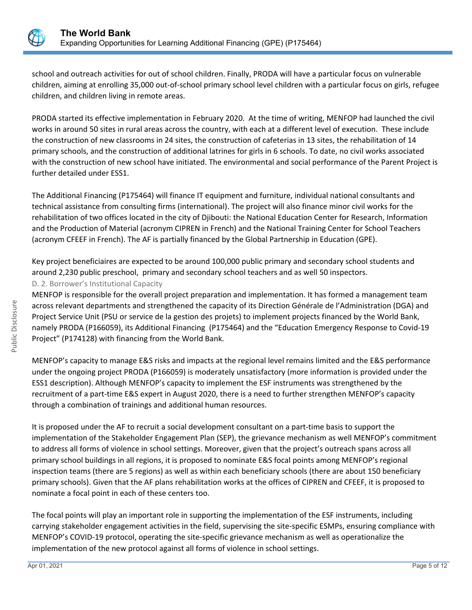

school and outreach activities for out of school children. Finally, PRODA will have a particular focus on vulnerable children, aiming at enrolling 35,000 out-of-school primary school level children with a particular focus on girls, refugee children, and children living in remote areas.

PRODA started its effective implementation in February 2020. At the time of writing, MENFOP had launched the civil works in around 50 sites in rural areas across the country, with each at a different level of execution. These include the construction of new classrooms in 24 sites, the construction of cafeterias in 13 sites, the rehabilitation of 14 primary schools, and the construction of additional latrines for girls in 6 schools. To date, no civil works associated with the construction of new school have initiated. The environmental and social performance of the Parent Project is further detailed under ESS1.

The Additional Financing (P175464) will finance IT equipment and furniture, individual national consultants and technical assistance from consulting firms (international). The project will also finance minor civil works for the rehabilitation of two offices located in the city of Djibouti: the National Education Center for Research, Information and the Production of Material (acronym CIPREN in French) and the National Training Center for School Teachers (acronym CFEEF in French). The AF is partially financed by the Global Partnership in Education (GPE).

Key project beneficiaires are expected to be around 100,000 public primary and secondary school students and around 2,230 public preschool, primary and secondary school teachers and as well 50 inspectors. D. 2. Borrower's Institutional Capacity

MENFOP is responsible for the overall project preparation and implementation. It has formed a management team across relevant departments and strengthened the capacity of its Direction Générale de l'Administration (DGA) and Project Service Unit (PSU or service de la gestion des projets) to implement projects financed by the World Bank, namely PRODA (P166059), its Additional Financing (P175464) and the "Education Emergency Response to Covid-19 Project" (P174128) with financing from the World Bank.

MENFOP's capacity to manage E&S risks and impacts at the regional level remains limited and the E&S performance under the ongoing project PRODA (P166059) is moderately unsatisfactory (more information is provided under the ESS1 description). Although MENFOP's capacity to implement the ESF instruments was strengthened by the recruitment of a part-time E&S expert in August 2020, there is a need to further strengthen MENFOP's capacity through a combination of trainings and additional human resources.

It is proposed under the AF to recruit a social development consultant on a part-time basis to support the implementation of the Stakeholder Engagement Plan (SEP), the grievance mechanism as well MENFOP's commitment to address all forms of violence in school settings. Moreover, given that the project's outreach spans across all primary school buildings in all regions, it is proposed to nominate E&S focal points among MENFOP's regional inspection teams (there are 5 regions) as well as within each beneficiary schools (there are about 150 beneficiary primary schools). Given that the AF plans rehabilitation works at the offices of CIPREN and CFEEF, it is proposed to nominate a focal point in each of these centers too.

The focal points will play an important role in supporting the implementation of the ESF instruments, including carrying stakeholder engagement activities in the field, supervising the site-specific ESMPs, ensuring compliance with MENFOP's COVID-19 protocol, operating the site-specific grievance mechanism as well as operationalize the implementation of the new protocol against all forms of violence in school settings.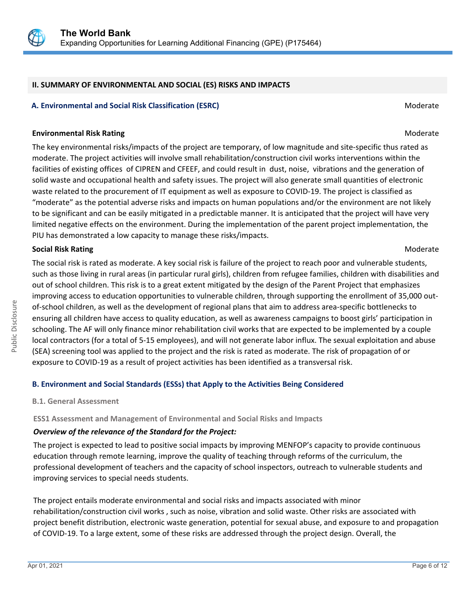

### **II. SUMMARY OF ENVIRONMENTAL AND SOCIAL (ES) RISKS AND IMPACTS**

### **A. Environmental and Social Risk Classification (ESRC) Moderate Social Risk Classification (ESRC) Moderate** Moderate

### **Environmental Risk Rating Moderate School School School School School School School School School School School School School School School School School School School School School School School School School School Scho**

The key environmental risks/impacts of the project are temporary, of low magnitude and site-specific thus rated as moderate. The project activities will involve small rehabilitation/construction civil works interventions within the facilities of existing offices of CIPREN and CFEEF, and could result in dust, noise, vibrations and the generation of solid waste and occupational health and safety issues. The project will also generate small quantities of electronic waste related to the procurement of IT equipment as well as exposure to COVID-19. The project is classified as "moderate" as the potential adverse risks and impacts on human populations and/or the environment are not likely to be significant and can be easily mitigated in a predictable manner. It is anticipated that the project will have very limited negative effects on the environment. During the implementation of the parent project implementation, the PIU has demonstrated a low capacity to manage these risks/impacts.

### **Social Risk Rating Moderate Social Risk Rating Moderate** Controllering Controllering Controllering Controllering Controllering Controllering Controllering Controllering Controllering Controllering Controllering Controller

The social risk is rated as moderate. A key social risk is failure of the project to reach poor and vulnerable students, such as those living in rural areas (in particular rural girls), children from refugee families, children with disabilities and out of school children. This risk is to a great extent mitigated by the design of the Parent Project that emphasizes improving access to education opportunities to vulnerable children, through supporting the enrollment of 35,000 outof-school children, as well as the development of regional plans that aim to address area-specific bottlenecks to ensuring all children have access to quality education, as well as awareness campaigns to boost girls' participation in schooling. The AF will only finance minor rehabilitation civil works that are expected to be implemented by a couple local contractors (for a total of 5-15 employees), and will not generate labor influx. The sexual exploitation and abuse (SEA) screening tool was applied to the project and the risk is rated as moderate. The risk of propagation of or exposure to COVID-19 as a result of project activities has been identified as a transversal risk.

### **B. Environment and Social Standards (ESSs) that Apply to the Activities Being Considered**

**B.1. General Assessment**

### **ESS1 Assessment and Management of Environmental and Social Risks and Impacts**

### *Overview of the relevance of the Standard for the Project:*

The project is expected to lead to positive social impacts by improving MENFOP's capacity to provide continuous education through remote learning, improve the quality of teaching through reforms of the curriculum, the professional development of teachers and the capacity of school inspectors, outreach to vulnerable students and improving services to special needs students.

The project entails moderate environmental and social risks and impacts associated with minor rehabilitation/construction civil works , such as noise, vibration and solid waste. Other risks are associated with project benefit distribution, electronic waste generation, potential for sexual abuse, and exposure to and propagation of COVID-19. To a large extent, some of these risks are addressed through the project design. Overall, the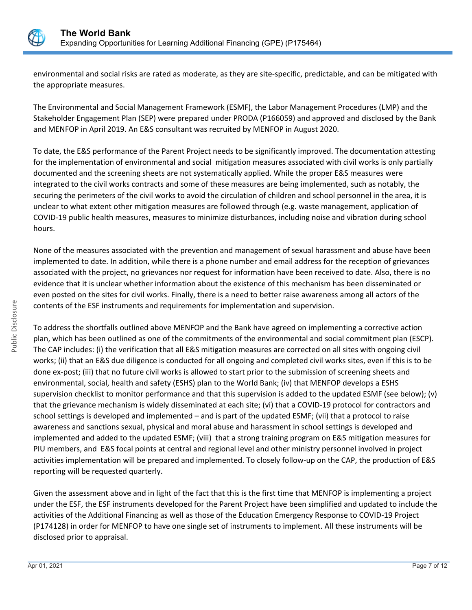

environmental and social risks are rated as moderate, as they are site-specific, predictable, and can be mitigated with the appropriate measures.

The Environmental and Social Management Framework (ESMF), the Labor Management Procedures (LMP) and the Stakeholder Engagement Plan (SEP) were prepared under PRODA (P166059) and approved and disclosed by the Bank and MENFOP in April 2019. An E&S consultant was recruited by MENFOP in August 2020.

To date, the E&S performance of the Parent Project needs to be significantly improved. The documentation attesting for the implementation of environmental and social mitigation measures associated with civil works is only partially documented and the screening sheets are not systematically applied. While the proper E&S measures were integrated to the civil works contracts and some of these measures are being implemented, such as notably, the securing the perimeters of the civil works to avoid the circulation of children and school personnel in the area, it is unclear to what extent other mitigation measures are followed through (e.g. waste management, application of COVID-19 public health measures, measures to minimize disturbances, including noise and vibration during school hours.

None of the measures associated with the prevention and management of sexual harassment and abuse have been implemented to date. In addition, while there is a phone number and email address for the reception of grievances associated with the project, no grievances nor request for information have been received to date. Also, there is no evidence that it is unclear whether information about the existence of this mechanism has been disseminated or even posted on the sites for civil works. Finally, there is a need to better raise awareness among all actors of the contents of the ESF instruments and requirements for implementation and supervision.

To address the shortfalls outlined above MENFOP and the Bank have agreed on implementing a corrective action plan, which has been outlined as one of the commitments of the environmental and social commitment plan (ESCP). The CAP includes: (i) the verification that all E&S mitigation measures are corrected on all sites with ongoing civil works; (ii) that an E&S due diligence is conducted for all ongoing and completed civil works sites, even if this is to be done ex-post; (iii) that no future civil works is allowed to start prior to the submission of screening sheets and environmental, social, health and safety (ESHS) plan to the World Bank; (iv) that MENFOP develops a ESHS supervision checklist to monitor performance and that this supervision is added to the updated ESMF (see below); (v) that the grievance mechanism is widely disseminated at each site; (vi) that a COVID-19 protocol for contractors and school settings is developed and implemented – and is part of the updated ESMF; (vii) that a protocol to raise awareness and sanctions sexual, physical and moral abuse and harassment in school settings is developed and implemented and added to the updated ESMF; (viii) that a strong training program on E&S mitigation measures for PIU members, and E&S focal points at central and regional level and other ministry personnel involved in project activities implementation will be prepared and implemented. To closely follow-up on the CAP, the production of E&S reporting will be requested quarterly.

Given the assessment above and in light of the fact that this is the first time that MENFOP is implementing a project under the ESF, the ESF instruments developed for the Parent Project have been simplified and updated to include the activities of the Additional Financing as well as those of the Education Emergency Response to COVID-19 Project (P174128) in order for MENFOP to have one single set of instruments to implement. All these instruments will be disclosed prior to appraisal.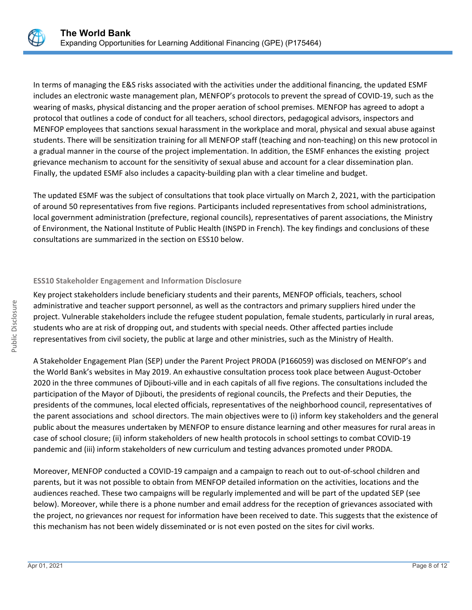

In terms of managing the E&S risks associated with the activities under the additional financing, the updated ESMF includes an electronic waste management plan, MENFOP's protocols to prevent the spread of COVID-19, such as the wearing of masks, physical distancing and the proper aeration of school premises. MENFOP has agreed to adopt a protocol that outlines a code of conduct for all teachers, school directors, pedagogical advisors, inspectors and MENFOP employees that sanctions sexual harassment in the workplace and moral, physical and sexual abuse against students. There will be sensitization training for all MENFOP staff (teaching and non-teaching) on this new protocol in a gradual manner in the course of the project implementation. In addition, the ESMF enhances the existing project grievance mechanism to account for the sensitivity of sexual abuse and account for a clear dissemination plan. Finally, the updated ESMF also includes a capacity-building plan with a clear timeline and budget.

The updated ESMF was the subject of consultations that took place virtually on March 2, 2021, with the participation of around 50 representatives from five regions. Participants included representatives from school administrations, local government administration (prefecture, regional councils), representatives of parent associations, the Ministry of Environment, the National Institute of Public Health (INSPD in French). The key findings and conclusions of these consultations are summarized in the section on ESS10 below.

## **ESS10 Stakeholder Engagement and Information Disclosure**

Key project stakeholders include beneficiary students and their parents, MENFOP officials, teachers, school administrative and teacher support personnel, as well as the contractors and primary suppliers hired under the project. Vulnerable stakeholders include the refugee student population, female students, particularly in rural areas, students who are at risk of dropping out, and students with special needs. Other affected parties include representatives from civil society, the public at large and other ministries, such as the Ministry of Health.

A Stakeholder Engagement Plan (SEP) under the Parent Project PRODA (P166059) was disclosed on MENFOP's and the World Bank's websites in May 2019. An exhaustive consultation process took place between August-October 2020 in the three communes of Djibouti-ville and in each capitals of all five regions. The consultations included the participation of the Mayor of Djibouti, the presidents of regional councils, the Prefects and their Deputies, the presidents of the communes, local elected officials, representatives of the neighborhood council, representatives of the parent associations and school directors. The main objectives were to (i) inform key stakeholders and the general public about the measures undertaken by MENFOP to ensure distance learning and other measures for rural areas in case of school closure; (ii) inform stakeholders of new health protocols in school settings to combat COVID-19 pandemic and (iii) inform stakeholders of new curriculum and testing advances promoted under PRODA.

Moreover, MENFOP conducted a COVID-19 campaign and a campaign to reach out to out-of-school children and parents, but it was not possible to obtain from MENFOP detailed information on the activities, locations and the audiences reached. These two campaigns will be regularly implemented and will be part of the updated SEP (see below). Moreover, while there is a phone number and email address for the reception of grievances associated with the project, no grievances nor request for information have been received to date. This suggests that the existence of this mechanism has not been widely disseminated or is not even posted on the sites for civil works.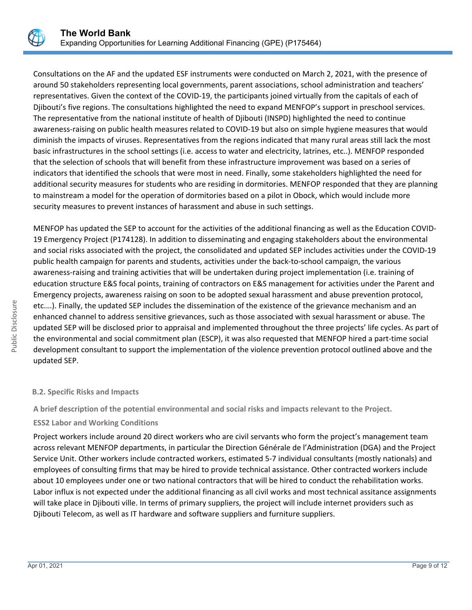

Consultations on the AF and the updated ESF instruments were conducted on March 2, 2021, with the presence of around 50 stakeholders representing local governments, parent associations, school administration and teachers' representatives. Given the context of the COVID-19, the participants joined virtually from the capitals of each of Djibouti's five regions. The consultations highlighted the need to expand MENFOP's support in preschool services. The representative from the national institute of health of Djibouti (INSPD) highlighted the need to continue awareness-raising on public health measures related to COVID-19 but also on simple hygiene measures that would diminish the impacts of viruses. Representatives from the regions indicated that many rural areas still lack the most basic infrastructures in the school settings (i.e. access to water and electricity, latrines, etc..). MENFOP responded that the selection of schools that will benefit from these infrastructure improvement was based on a series of indicators that identified the schools that were most in need. Finally, some stakeholders highlighted the need for additional security measures for students who are residing in dormitories. MENFOP responded that they are planning to mainstream a model for the operation of dormitories based on a pilot in Obock, which would include more security measures to prevent instances of harassment and abuse in such settings.

MENFOP has updated the SEP to account for the activities of the additional financing as well as the Education COVID-19 Emergency Project (P174128). In addition to disseminating and engaging stakeholders about the environmental and social risks associated with the project, the consolidated and updated SEP includes activities under the COVID-19 public health campaign for parents and students, activities under the back-to-school campaign, the various awareness-raising and training activities that will be undertaken during project implementation (i.e. training of education structure E&S focal points, training of contractors on E&S management for activities under the Parent and Emergency projects, awareness raising on soon to be adopted sexual harassment and abuse prevention protocol, etc.…). Finally, the updated SEP includes the dissemination of the existence of the grievance mechanism and an enhanced channel to address sensitive grievances, such as those associated with sexual harassment or abuse. The updated SEP will be disclosed prior to appraisal and implemented throughout the three projects' life cycles. As part of the environmental and social commitment plan (ESCP), it was also requested that MENFOP hired a part-time social development consultant to support the implementation of the violence prevention protocol outlined above and the updated SEP.

### **B.2. Specific Risks and Impacts**

**A brief description of the potential environmental and social risks and impacts relevant to the Project.**

# **ESS2 Labor and Working Conditions**

Project workers include around 20 direct workers who are civil servants who form the project's management team across relevant MENFOP departments, in particular the Direction Générale de l'Administration (DGA) and the Project Service Unit. Other workers include contracted workers, estimated 5-7 individual consultants (mostly nationals) and employees of consulting firms that may be hired to provide technical assistance. Other contracted workers include about 10 employees under one or two national contractors that will be hired to conduct the rehabilitation works. Labor influx is not expected under the additional financing as all civil works and most technical assitance assignments will take place in Djibouti ville. In terms of primary suppliers, the project will include internet providers such as Djibouti Telecom, as well as IT hardware and software suppliers and furniture suppliers.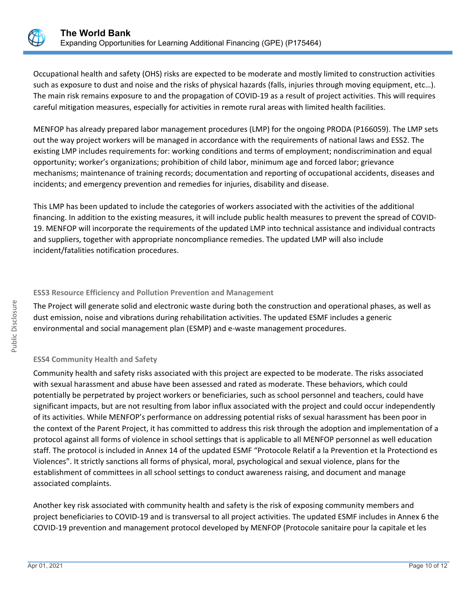

Occupational health and safety (OHS) risks are expected to be moderate and mostly limited to construction activities such as exposure to dust and noise and the risks of physical hazards (falls, injuries through moving equipment, etc…). The main risk remains exposure to and the propagation of COVID-19 as a result of project activities. This will requires careful mitigation measures, especially for activities in remote rural areas with limited health facilities.

MENFOP has already prepared labor management procedures (LMP) for the ongoing PRODA (P166059). The LMP sets out the way project workers will be managed in accordance with the requirements of national laws and ESS2. The existing LMP includes requirements for: working conditions and terms of employment; nondiscrimination and equal opportunity; worker's organizations; prohibition of child labor, minimum age and forced labor; grievance mechanisms; maintenance of training records; documentation and reporting of occupational accidents, diseases and incidents; and emergency prevention and remedies for injuries, disability and disease.

This LMP has been updated to include the categories of workers associated with the activities of the additional financing. In addition to the existing measures, it will include public health measures to prevent the spread of COVID-19. MENFOP will incorporate the requirements of the updated LMP into technical assistance and individual contracts and suppliers, together with appropriate noncompliance remedies. The updated LMP will also include incident/fatalities notification procedures.

### **ESS3 Resource Efficiency and Pollution Prevention and Management**

The Project will generate solid and electronic waste during both the construction and operational phases, as well as dust emission, noise and vibrations during rehabilitation activities. The updated ESMF includes a generic environmental and social management plan (ESMP) and e-waste management procedures.

# **ESS4 Community Health and Safety**

Community health and safety risks associated with this project are expected to be moderate. The risks associated with sexual harassment and abuse have been assessed and rated as moderate. These behaviors, which could potentially be perpetrated by project workers or beneficiaries, such as school personnel and teachers, could have significant impacts, but are not resulting from labor influx associated with the project and could occur independently of its activities. While MENFOP's performance on addressing potential risks of sexual harassment has been poor in the context of the Parent Project, it has committed to address this risk through the adoption and implementation of a protocol against all forms of violence in school settings that is applicable to all MENFOP personnel as well education staff. The protocol is included in Annex 14 of the updated ESMF "Protocole Relatif a la Prevention et la Protectiond es Violences". It strictly sanctions all forms of physical, moral, psychological and sexual violence, plans for the establishment of committees in all school settings to conduct awareness raising, and document and manage associated complaints.

Another key risk associated with community health and safety is the risk of exposing community members and project beneficiaries to COVID-19 and is transversal to all project activities. The updated ESMF includes in Annex 6 the COVID-19 prevention and management protocol developed by MENFOP (Protocole sanitaire pour la capitale et les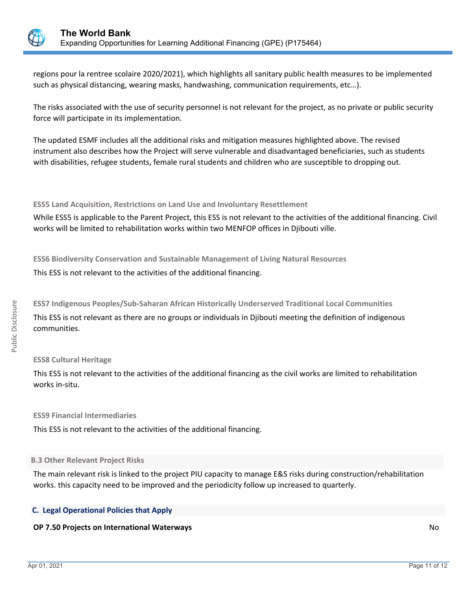

regions pour la rentree scolaire 2020/2021), which highlights all sanitary public health measures to be implemented such as physical distancing, wearing masks, handwashing, communication requirements, etc…).

The risks associated with the use of security personnel is not relevant for the project, as no private or public security force will participate in its implementation.

The updated ESMF includes all the additional risks and mitigation measures highlighted above. The revised instrument also describes how the Project will serve vulnerable and disadvantaged beneficiaries, such as students with disabilities, refugee students, female rural students and children who are susceptible to dropping out.

**ESS5 Land Acquisition, Restrictions on Land Use and Involuntary Resettlement**

While ESS5 is applicable to the Parent Project, this ESS is not relevant to the activities of the additional financing. Civil works will be limited to rehabilitation works within two MENFOP offices in Djibouti ville.

**ESS6 Biodiversity Conservation and Sustainable Management of Living Natural Resources**

This ESS is not relevant to the activities of the additional financing.

**ESS7 Indigenous Peoples/Sub-Saharan African Historically Underserved Traditional Local Communities** This ESS is not relevant as there are no groups or individuals in Djibouti meeting the definition of indigenous communities.

# **ESS8 Cultural Heritage**

This ESS is not relevant to the activities of the additional financing as the civil works are limited to rehabilitation works in-situ.

**ESS9 Financial Intermediaries**

This ESS is not relevant to the activities of the additional financing.

### **B.3 Other Relevant Project Risks**

The main relevant risk is linked to the project PIU capacity to manage E&S risks during construction/rehabilitation works. this capacity need to be improved and the periodicity follow up increased to quarterly.

# **C. Legal Operational Policies that Apply**

# **OP 7.50 Projects on International Waterways** No